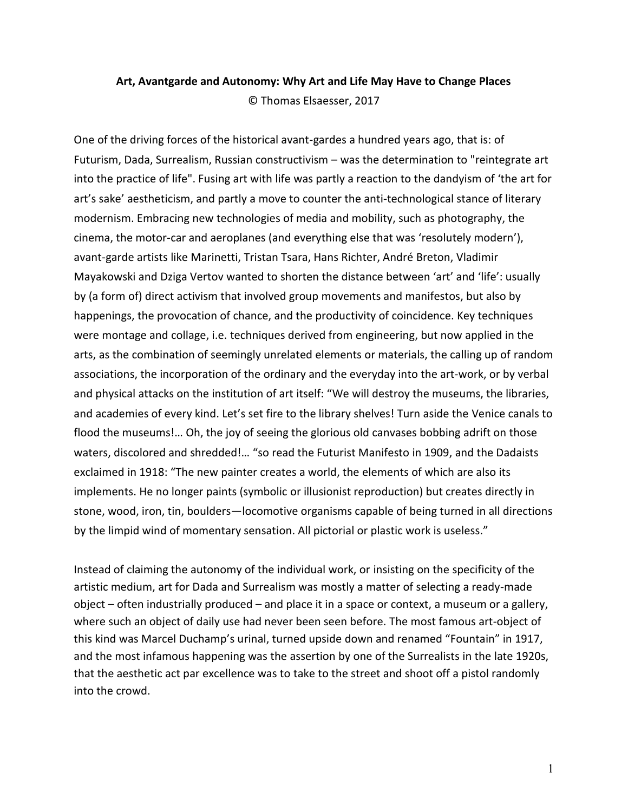## **Art, Avantgarde and Autonomy: Why Art and Life May Have to Change Places** © Thomas Elsaesser, 2017

One of the driving forces of the historical avant-gardes a hundred years ago, that is: of Futurism, Dada, Surrealism, Russian constructivism – was the determination to "reintegrate art into the practice of life". Fusing art with life was partly a reaction to the dandyism of 'the art for art's sake' aestheticism, and partly a move to counter the anti-technological stance of literary modernism. Embracing new technologies of media and mobility, such as photography, the cinema, the motor-car and aeroplanes (and everything else that was 'resolutely modern'), avant-garde artists like Marinetti, Tristan Tsara, Hans Richter, André Breton, Vladimir Mayakowski and Dziga Vertov wanted to shorten the distance between 'art' and 'life': usually by (a form of) direct activism that involved group movements and manifestos, but also by happenings, the provocation of chance, and the productivity of coincidence. Key techniques were montage and collage, i.e. techniques derived from engineering, but now applied in the arts, as the combination of seemingly unrelated elements or materials, the calling up of random associations, the incorporation of the ordinary and the everyday into the art-work, or by verbal and physical attacks on the institution of art itself: "We will destroy the museums, the libraries, and academies of every kind. Let's set fire to the library shelves! Turn aside the Venice canals to flood the museums!… Oh, the joy of seeing the glorious old canvases bobbing adrift on those waters, discolored and shredded!… "so read the Futurist Manifesto in 1909, and the Dadaists exclaimed in 1918: "The new painter creates a world, the elements of which are also its implements. He no longer paints (symbolic or illusionist reproduction) but creates directly in stone, wood, iron, tin, boulders—locomotive organisms capable of being turned in all directions by the limpid wind of momentary sensation. All pictorial or plastic work is useless."

Instead of claiming the autonomy of the individual work, or insisting on the specificity of the artistic medium, art for Dada and Surrealism was mostly a matter of selecting a ready-made object – often industrially produced – and place it in a space or context, a museum or a gallery, where such an object of daily use had never been seen before. The most famous art-object of this kind was Marcel Duchamp's urinal, turned upside down and renamed "Fountain" in 1917, and the most infamous happening was the assertion by one of the Surrealists in the late 1920s, that the aesthetic act par excellence was to take to the street and shoot off a pistol randomly into the crowd.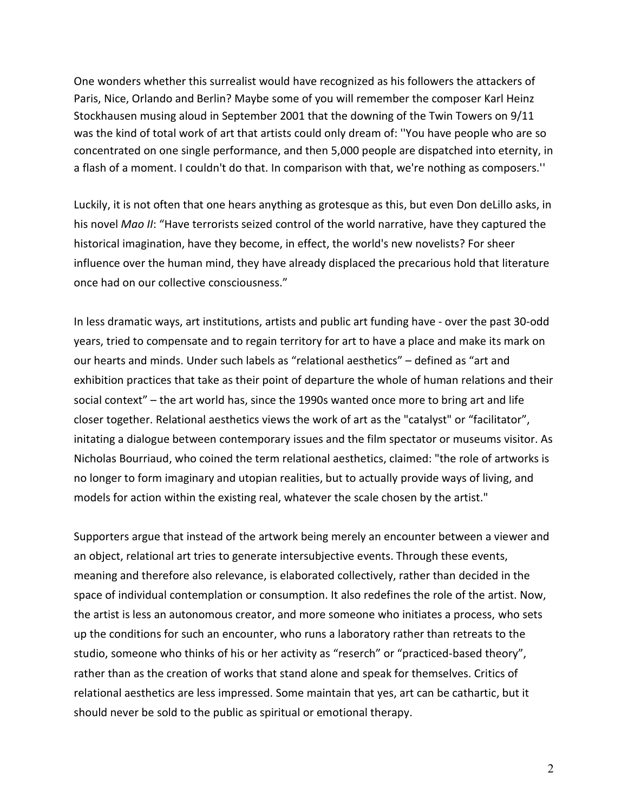One wonders whether this surrealist would have recognized as his followers the attackers of Paris, Nice, Orlando and Berlin? Maybe some of you will remember the composer Karl Heinz Stockhausen musing aloud in September 2001 that the downing of the Twin Towers on 9/11 was the kind of total work of art that artists could only dream of: ''You have people who are so concentrated on one single performance, and then 5,000 people are dispatched into eternity, in a flash of a moment. I couldn't do that. In comparison with that, we're nothing as composers.''

Luckily, it is not often that one hears anything as grotesque as this, but even Don deLillo asks, in his novel *Mao II*: "Have terrorists seized control of the world narrative, have they captured the historical imagination, have they become, in effect, the world's new novelists? For sheer influence over the human mind, they have already displaced the precarious hold that literature once had on our collective consciousness."

In less dramatic ways, art institutions, artists and public art funding have - over the past 30-odd years, tried to compensate and to regain territory for art to have a place and make its mark on our hearts and minds. Under such labels as "relational aesthetics" – defined as "art and exhibition practices that take as their point of departure the whole of human relations and their social context" – the art world has, since the 1990s wanted once more to bring art and life closer together. Relational aesthetics views the work of art as the "catalyst" or "facilitator", initating a dialogue between contemporary issues and the film spectator or museums visitor. As Nicholas Bourriaud, who coined the term relational aesthetics, claimed: "the role of artworks is no longer to form imaginary and utopian realities, but to actually provide ways of living, and models for action within the existing real, whatever the scale chosen by the artist."

Supporters argue that instead of the artwork being merely an encounter between a viewer and an object, relational art tries to generate intersubjective events. Through these events, meaning and therefore also relevance, is elaborated collectively, rather than decided in the space of individual contemplation or consumption. It also redefines the role of the artist. Now, the artist is less an autonomous creator, and more someone who initiates a process, who sets up the conditions for such an encounter, who runs a laboratory rather than retreats to the studio, someone who thinks of his or her activity as "reserch" or "practiced-based theory", rather than as the creation of works that stand alone and speak for themselves. Critics of relational aesthetics are less impressed. Some maintain that yes, art can be cathartic, but it should never be sold to the public as spiritual or emotional therapy.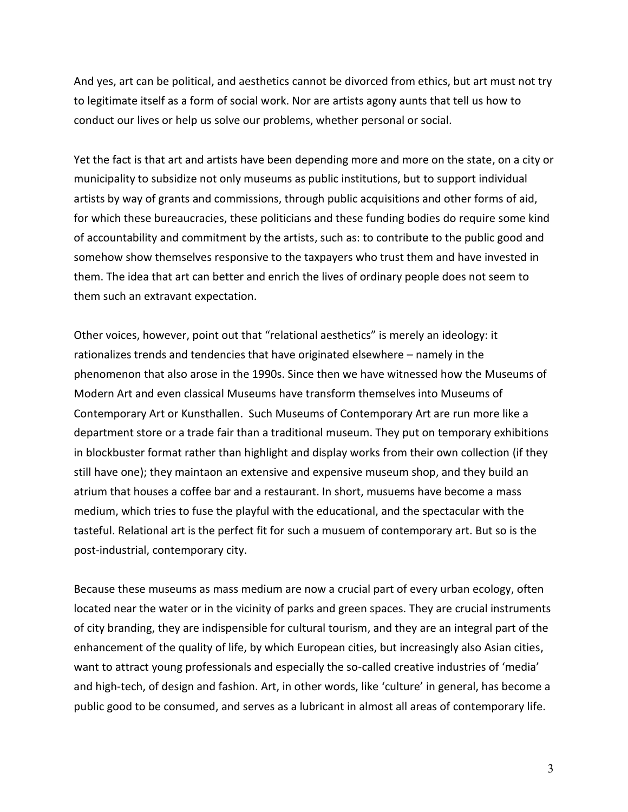And yes, art can be political, and aesthetics cannot be divorced from ethics, but art must not try to legitimate itself as a form of social work. Nor are artists agony aunts that tell us how to conduct our lives or help us solve our problems, whether personal or social.

Yet the fact is that art and artists have been depending more and more on the state, on a city or municipality to subsidize not only museums as public institutions, but to support individual artists by way of grants and commissions, through public acquisitions and other forms of aid, for which these bureaucracies, these politicians and these funding bodies do require some kind of accountability and commitment by the artists, such as: to contribute to the public good and somehow show themselves responsive to the taxpayers who trust them and have invested in them. The idea that art can better and enrich the lives of ordinary people does not seem to them such an extravant expectation.

Other voices, however, point out that "relational aesthetics" is merely an ideology: it rationalizes trends and tendencies that have originated elsewhere – namely in the phenomenon that also arose in the 1990s. Since then we have witnessed how the Museums of Modern Art and even classical Museums have transform themselves into Museums of Contemporary Art or Kunsthallen. Such Museums of Contemporary Art are run more like a department store or a trade fair than a traditional museum. They put on temporary exhibitions in blockbuster format rather than highlight and display works from their own collection (if they still have one); they maintaon an extensive and expensive museum shop, and they build an atrium that houses a coffee bar and a restaurant. In short, musuems have become a mass medium, which tries to fuse the playful with the educational, and the spectacular with the tasteful. Relational art is the perfect fit for such a musuem of contemporary art. But so is the post-industrial, contemporary city.

Because these museums as mass medium are now a crucial part of every urban ecology, often located near the water or in the vicinity of parks and green spaces. They are crucial instruments of city branding, they are indispensible for cultural tourism, and they are an integral part of the enhancement of the quality of life, by which European cities, but increasingly also Asian cities, want to attract young professionals and especially the so-called creative industries of 'media' and high-tech, of design and fashion. Art, in other words, like 'culture' in general, has become a public good to be consumed, and serves as a lubricant in almost all areas of contemporary life.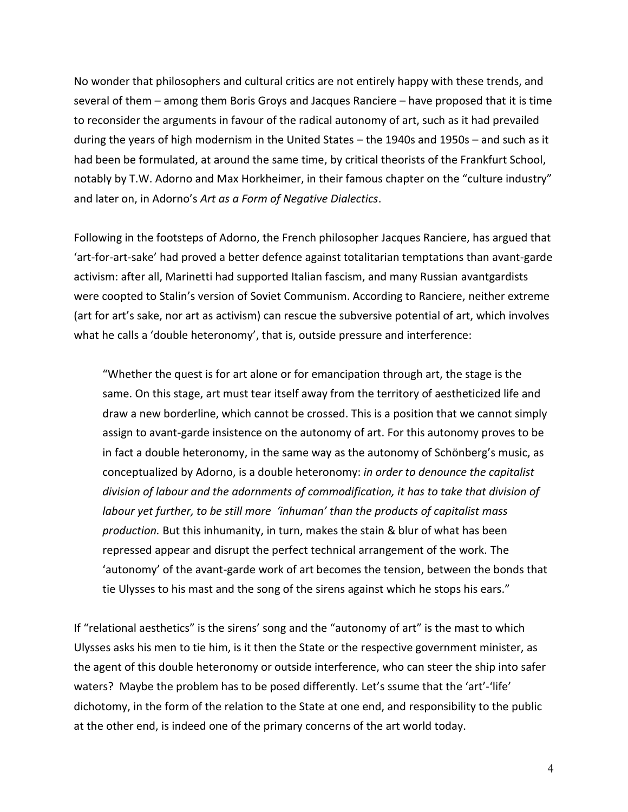No wonder that philosophers and cultural critics are not entirely happy with these trends, and several of them – among them Boris Groys and Jacques Ranciere – have proposed that it is time to reconsider the arguments in favour of the radical autonomy of art, such as it had prevailed during the years of high modernism in the United States – the 1940s and 1950s – and such as it had been be formulated, at around the same time, by critical theorists of the Frankfurt School, notably by T.W. Adorno and Max Horkheimer, in their famous chapter on the "culture industry" and later on, in Adorno's *Art as a Form of Negative Dialectics*.

Following in the footsteps of Adorno, the French philosopher Jacques Ranciere, has argued that 'art-for-art-sake' had proved a better defence against totalitarian temptations than avant-garde activism: after all, Marinetti had supported Italian fascism, and many Russian avantgardists were coopted to Stalin's version of Soviet Communism. According to Ranciere, neither extreme (art for art's sake, nor art as activism) can rescue the subversive potential of art, which involves what he calls a 'double heteronomy', that is, outside pressure and interference:

"Whether the quest is for art alone or for emancipation through art, the stage is the same. On this stage, art must tear itself away from the territory of aestheticized life and draw a new borderline, which cannot be crossed. This is a position that we cannot simply assign to avant-garde insistence on the autonomy of art. For this autonomy proves to be in fact a double heteronomy, in the same way as the autonomy of Schönberg's music, as conceptualized by Adorno, is a double heteronomy: *in order to denounce the capitalist division of labour and the adornments of commodification, it has to take that division of labour yet further, to be still more 'inhuman' than the products of capitalist mass production.* But this inhumanity, in turn, makes the stain & blur of what has been repressed appear and disrupt the perfect technical arrangement of the work. The 'autonomy' of the avant-garde work of art becomes the tension, between the bonds that tie Ulysses to his mast and the song of the sirens against which he stops his ears."

If "relational aesthetics" is the sirens' song and the "autonomy of art" is the mast to which Ulysses asks his men to tie him, is it then the State or the respective government minister, as the agent of this double heteronomy or outside interference, who can steer the ship into safer waters? Maybe the problem has to be posed differently. Let's ssume that the 'art'-'life' dichotomy, in the form of the relation to the State at one end, and responsibility to the public at the other end, is indeed one of the primary concerns of the art world today.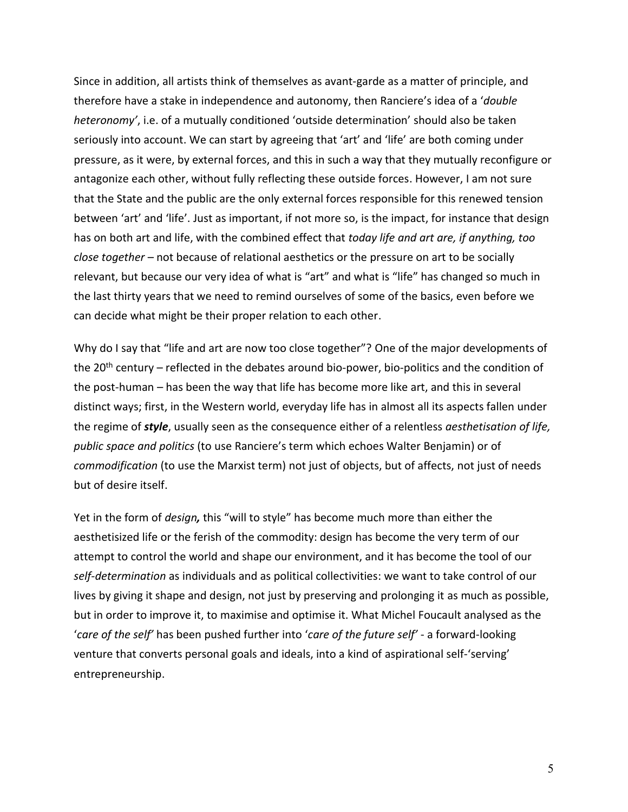Since in addition, all artists think of themselves as avant-garde as a matter of principle, and therefore have a stake in independence and autonomy, then Ranciere's idea of a '*double heteronomy'*, i.e. of a mutually conditioned 'outside determination' should also be taken seriously into account. We can start by agreeing that 'art' and 'life' are both coming under pressure, as it were, by external forces, and this in such a way that they mutually reconfigure or antagonize each other, without fully reflecting these outside forces. However, I am not sure that the State and the public are the only external forces responsible for this renewed tension between 'art' and 'life'. Just as important, if not more so, is the impact, for instance that design has on both art and life, with the combined effect that *today life and art are, if anything, too close together* – not because of relational aesthetics or the pressure on art to be socially relevant, but because our very idea of what is "art" and what is "life" has changed so much in the last thirty years that we need to remind ourselves of some of the basics, even before we can decide what might be their proper relation to each other.

Why do I say that "life and art are now too close together"? One of the major developments of the 20th century – reflected in the debates around bio-power, bio-politics and the condition of the post-human – has been the way that life has become more like art, and this in several distinct ways; first, in the Western world, everyday life has in almost all its aspects fallen under the regime of *style*, usually seen as the consequence either of a relentless *aesthetisation of life, public space and politics* (to use Ranciere's term which echoes Walter Benjamin) or of *commodification* (to use the Marxist term) not just of objects, but of affects, not just of needs but of desire itself.

Yet in the form of *design,* this "will to style" has become much more than either the aesthetisized life or the ferish of the commodity: design has become the very term of our attempt to control the world and shape our environment, and it has become the tool of our *self-determination* as individuals and as political collectivities: we want to take control of our lives by giving it shape and design, not just by preserving and prolonging it as much as possible, but in order to improve it, to maximise and optimise it. What Michel Foucault analysed as the '*care of the self'* has been pushed further into '*care of the future self'* - a forward-looking venture that converts personal goals and ideals, into a kind of aspirational self-'serving' entrepreneurship.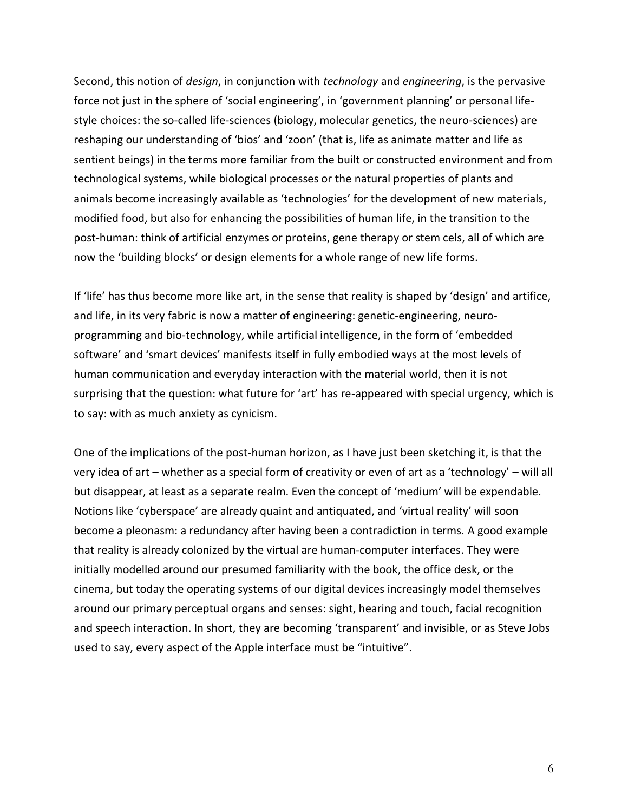Second, this notion of *design*, in conjunction with *technology* and *engineering*, is the pervasive force not just in the sphere of 'social engineering', in 'government planning' or personal lifestyle choices: the so-called life-sciences (biology, molecular genetics, the neuro-sciences) are reshaping our understanding of 'bios' and 'zoon' (that is, life as animate matter and life as sentient beings) in the terms more familiar from the built or constructed environment and from technological systems, while biological processes or the natural properties of plants and animals become increasingly available as 'technologies' for the development of new materials, modified food, but also for enhancing the possibilities of human life, in the transition to the post-human: think of artificial enzymes or proteins, gene therapy or stem cels, all of which are now the 'building blocks' or design elements for a whole range of new life forms.

If 'life' has thus become more like art, in the sense that reality is shaped by 'design' and artifice, and life, in its very fabric is now a matter of engineering: genetic-engineering, neuroprogramming and bio-technology, while artificial intelligence, in the form of 'embedded software' and 'smart devices' manifests itself in fully embodied ways at the most levels of human communication and everyday interaction with the material world, then it is not surprising that the question: what future for 'art' has re-appeared with special urgency, which is to say: with as much anxiety as cynicism.

One of the implications of the post-human horizon, as I have just been sketching it, is that the very idea of art – whether as a special form of creativity or even of art as a 'technology' – will all but disappear, at least as a separate realm. Even the concept of 'medium' will be expendable. Notions like 'cyberspace' are already quaint and antiquated, and 'virtual reality' will soon become a pleonasm: a redundancy after having been a contradiction in terms. A good example that reality is already colonized by the virtual are human-computer interfaces. They were initially modelled around our presumed familiarity with the book, the office desk, or the cinema, but today the operating systems of our digital devices increasingly model themselves around our primary perceptual organs and senses: sight, hearing and touch, facial recognition and speech interaction. In short, they are becoming 'transparent' and invisible, or as Steve Jobs used to say, every aspect of the Apple interface must be "intuitive".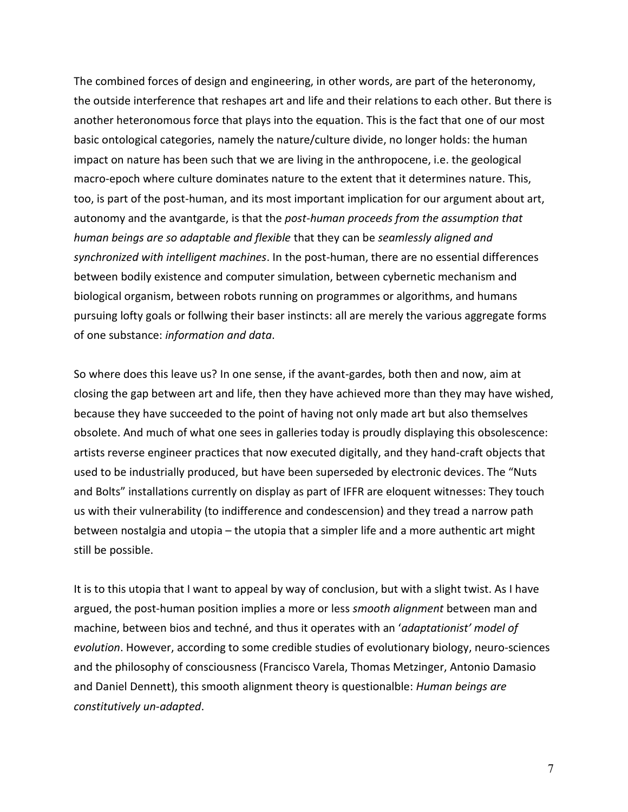The combined forces of design and engineering, in other words, are part of the heteronomy, the outside interference that reshapes art and life and their relations to each other. But there is another heteronomous force that plays into the equation. This is the fact that one of our most basic ontological categories, namely the nature/culture divide, no longer holds: the human impact on nature has been such that we are living in the anthropocene, i.e. the geological macro-epoch where culture dominates nature to the extent that it determines nature. This, too, is part of the post-human, and its most important implication for our argument about art, autonomy and the avantgarde, is that the *post-human proceeds from the assumption that human beings are so adaptable and flexible* that they can be *seamlessly aligned and synchronized with intelligent machines*. In the post-human, there are no essential differences between bodily existence and computer simulation, between cybernetic mechanism and biological organism, between robots running on programmes or algorithms, and humans pursuing lofty goals or follwing their baser instincts: all are merely the various aggregate forms of one substance: *information and data*.

So where does this leave us? In one sense, if the avant-gardes, both then and now, aim at closing the gap between art and life, then they have achieved more than they may have wished, because they have succeeded to the point of having not only made art but also themselves obsolete. And much of what one sees in galleries today is proudly displaying this obsolescence: artists reverse engineer practices that now executed digitally, and they hand-craft objects that used to be industrially produced, but have been superseded by electronic devices. The "Nuts and Bolts" installations currently on display as part of IFFR are eloquent witnesses: They touch us with their vulnerability (to indifference and condescension) and they tread a narrow path between nostalgia and utopia – the utopia that a simpler life and a more authentic art might still be possible.

It is to this utopia that I want to appeal by way of conclusion, but with a slight twist. As I have argued, the post-human position implies a more or less *smooth alignment* between man and machine, between bios and techné, and thus it operates with an '*adaptationist' model of evolution*. However, according to some credible studies of evolutionary biology, neuro-sciences and the philosophy of consciousness (Francisco Varela, Thomas Metzinger, Antonio Damasio and Daniel Dennett), this smooth alignment theory is questionalble: *Human beings are constitutively un-adapted*.

7